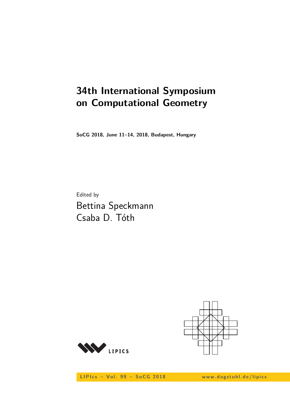# **34th International Symposium on Computational Geometry**

**SoCG 2018, June 11–14, 2018, Budapest, Hungary**

Edited by Bettina Speckmann Csaba D. Tóth



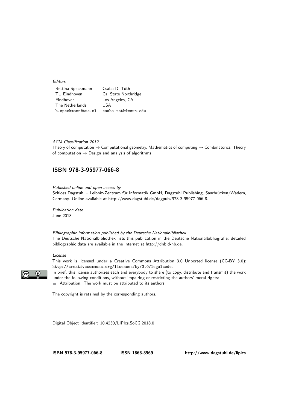**Editors** 

| Bettina Speckmann  | Csaba D. Tóth        |
|--------------------|----------------------|
| TU Eindhoven       | Cal State Northridge |
| Eindhoven          | Los Angeles, CA      |
| The Netherlands    | USA                  |
| b.speckmann@tue.nl | csaba.toth@csun.edu  |

#### ACM Classification 2012

Theory of computation  $\rightarrow$  Computational geometry, Mathematics of computing  $\rightarrow$  Combinatorics, Theory of computation  $\rightarrow$  Design and analysis of algorithms

#### **[ISBN 978-3-95977-066-8](http://www.dagstuhl.de/dagpub/978-3-95977-066-8)**

Published online and open access by

Schloss Dagstuhl – Leibniz-Zentrum für Informatik GmbH, Dagstuhl Publishing, Saarbrücken/Wadern, Germany. Online available at [http://www.dagstuhl.de/dagpub/978-3-95977-066-8.](http://www.dagstuhl.de/dagpub/978-3-95977-066-8)

Publication date June 2018

Bibliographic information published by the Deutsche Nationalbibliothek The Deutsche Nationalbibliothek lists this publication in the Deutsche Nationalbibliografie; detailed bibliographic data are available in the Internet at [http://dnb.d-nb.de.](http://dnb.d-nb.de)

#### License

 $\odot$ 

This work is licensed under a Creative Commons Attribution 3.0 Unported license (CC-BY 3.0): http://creativecommons.org/licenses/by/3.0/legalcode.

In brief, this license authorizes each and everybody to share (to copy, distribute and transmit) the work under the following conditions, without impairing or restricting the authors' moral rights: Attribution: The work must be attributed to its authors.

The copyright is retained by the corresponding authors.

Digital Object Identifier: [10.4230/LIPIcs.SoCG.2018.0](http://dx.doi.org/10.4230/LIPIcs.SoCG.2018.0)

**[ISBN 978-3-95977-066-8](http://www.dagstuhl.de/dagpub/978-3-95977-066-8) [ISSN 1868-8969](http://drops.dagstuhl.de/lipics)<http://www.dagstuhl.de/lipics>**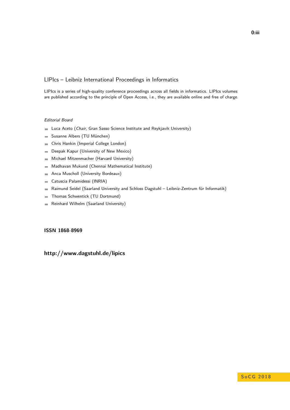#### LIPIcs – Leibniz International Proceedings in Informatics

LIPIcs is a series of high-quality conference proceedings across all fields in informatics. LIPIcs volumes are published according to the principle of Open Access, i.e., they are available online and free of charge.

#### Editorial Board

- **Luca Aceto** (*Chair*, Gran Sasso Science Institute and Reykjavik University)
- Susanne Albers (TU München)  $\equiv$
- Chris Hankin (Imperial College London)  $\blacksquare$
- Deepak Kapur (University of New Mexico)  $\equiv$
- Michael Mitzenmacher (Harvard University)  $\sim$
- Madhavan Mukund (Chennai Mathematical Institute)  $\overline{\phantom{a}}$
- Anca Muscholl (University Bordeaux)  $\blacksquare$
- Catuscia Palamidessi (INRIA)  $\overline{a}$
- Raimund Seidel (Saarland University and Schloss Dagstuhl Leibniz-Zentrum für Informatik)  $\blacksquare$
- Thomas Schwentick (TU Dortmund)  $\overline{a}$
- Reinhard Wilhelm (Saarland University)  $\sim$

#### **[ISSN 1868-8969](http://www.dagstuhl.de/dagpub/1868-8969)**

#### **<http://www.dagstuhl.de/lipics>**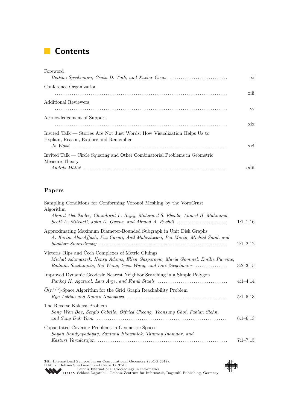## **Contents**

| Foreword                                                                     |           |
|------------------------------------------------------------------------------|-----------|
| Bettina Speckmann, Csaba D. Tóth, and Xavier Goaoc                           | xi        |
| Conference Organization                                                      |           |
|                                                                              | xiii      |
| Additional Reviewers                                                         |           |
|                                                                              | <b>XV</b> |
| Acknowledgement of Support                                                   | xix       |
|                                                                              |           |
| Invited Talk — Stories Are Not Just Words: How Visualization Helps Us to     |           |
| Explain, Reason, Explore and Remember                                        |           |
|                                                                              | xxi       |
| Invited Talk — Circle Squaring and Other Combinatorial Problems in Geometric |           |
| Measure Theory                                                               |           |
|                                                                              | xxiii     |

### **Papers**

| $1:1-1:16$   |
|--------------|
| $2:1-2:12$   |
| $3:2-3:15$   |
| $4:1-4:14$   |
| $5:1 - 5:13$ |
| $6:1-6:13$   |
| $7:1 - 7:15$ |
|              |

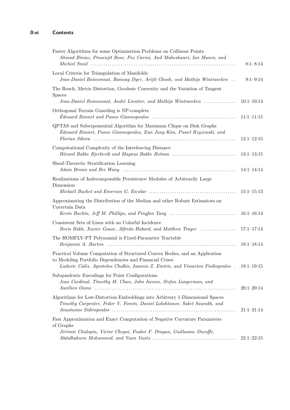| Faster Algorithms for some Optimization Problems on Collinear Points<br>Ahmad Biniaz, Prosenjit Bose, Paz Carmi, Anil Maheshwari, Ian Munro, and                                                                                        | $8:1 - 8:14$   |
|-----------------------------------------------------------------------------------------------------------------------------------------------------------------------------------------------------------------------------------------|----------------|
| Local Criteria for Triangulation of Manifolds<br>Jean-Daniel Boissonnat, Ramsay Dyer, Arijit Ghosh, and Mathijs Wintraecken                                                                                                             | $9:1-9:14$     |
| The Reach, Metric Distortion, Geodesic Convexity and the Variation of Tangent<br><b>Spaces</b><br>Jean-Daniel Boissonnat, André Lieutier, and Mathijs Wintraecken                                                                       | $10:1-10:14$   |
| Orthogonal Terrain Guarding is NP-complete                                                                                                                                                                                              | $11:1-11:15$   |
| QPTAS and Subexponential Algorithm for Maximum Clique on Disk Graphs<br>Édouard Bonnet, Panos Giannopoulos, Eun Jung Kim, Paweł Rzążewski, and                                                                                          | $12:1-12:15$   |
| Computational Complexity of the Interleaving Distance<br>Håvard Bakke Bjerkevik and Magnus Bakke Botnan                                                                                                                                 | $13:1-13:15$   |
| Sheaf-Theoretic Stratification Learning                                                                                                                                                                                                 | $14:1 - 14:14$ |
| Realizations of Indecomposable Persistence Modules of Arbitrarily Large<br>Dimension                                                                                                                                                    | $15:1 - 15:13$ |
| Approximating the Distribution of the Median and other Robust Estimators on<br>Uncertain Data<br>Kevin Buchin, Jeff M. Phillips, and Pingfan Tang                                                                                       | $16:1-16:14$   |
| Consistent Sets of Lines with no Colorful Incidence<br>Boris Bukh, Xavier Goaoc, Alfredo Hubard, and Matthew Trager  17:1–17:14                                                                                                         |                |
| The HOMFLY-PT Polynomial is Fixed-Parameter Tractable                                                                                                                                                                                   | $18:1 - 18:14$ |
| Practical Volume Computation of Structured Convex Bodies, and an Application<br>to Modeling Portfolio Dependencies and Financial Crises<br>Ludovic Calès, Apostolos Chalkis, Ioannis Z. Emiris, and Vissarion Fisikopoulos . 19:1–19:15 |                |
| Subquadratic Encodings for Point Configurations<br>Jean Cardinal, Timothy M. Chan, John Iacono, Stefan Langerman, and                                                                                                                   | $20:1-20:14$   |
| Algorithms for Low-Distortion Embeddings into Arbitrary 1-Dimensional Spaces<br>Timothy Carpenter, Fedor V. Fomin, Daniel Lokshtanov, Saket Saurabh, and                                                                                | $21:1-21:14$   |
| Fast Approximation and Exact Computation of Negative Curvature Parameters<br>of Graphs<br>Jérémie Chalopin, Victor Chepoi, Feodor F. Dragan, Guillaume Ducoffe,                                                                         | $22:1-22:15$   |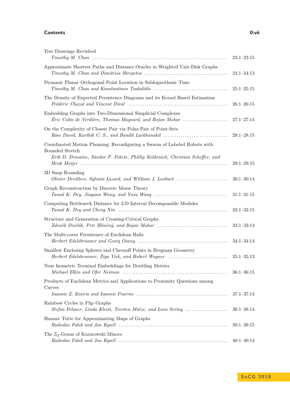#### **Contents 0:vii**

| Tree Drawings Revisited                                                                                                                                                       | $23:1-23:15$   |
|-------------------------------------------------------------------------------------------------------------------------------------------------------------------------------|----------------|
| Approximate Shortest Paths and Distance Oracles in Weighted Unit-Disk Graphs                                                                                                  | $24:1 - 24:13$ |
| Dynamic Planar Orthogonal Point Location in Sublogarithmic Time                                                                                                               | $25:1-25:15$   |
| The Density of Expected Persistence Diagrams and its Kernel Based Estimation                                                                                                  | $26:1 - 26:15$ |
| Embedding Graphs into Two-Dimensional Simplicial Complexes<br>Éric Colin de Verdière, Thomas Magnard, and Bojan Mohar                                                         | $27:1 - 27:14$ |
| On the Complexity of Closest Pair via Polar-Pair of Point-Sets<br>Roee David, Karthik C. S., and Bundit Laekhanukit                                                           | $28:1-28:15$   |
| Coordinated Motion Planning: Reconfiguring a Swarm of Labeled Robots with<br>Bounded Stretch<br>Erik D. Demaine, Sándor P. Fekete, Phillip Keldenich, Christian Scheffer, and | $29:1 - 29:15$ |
| 3D Snap Rounding<br>Olivier Devillers, Sylvain Lazard, and William J. Lenhart                                                                                                 | $30:1 - 30:14$ |
| Graph Reconstruction by Discrete Morse Theory                                                                                                                                 | $31:1 - 31:15$ |
| Computing Bottleneck Distance for 2-D Interval Decomposable Modules                                                                                                           | $32:1 - 32:15$ |
| Structure and Generation of Crossing-Critical Graphs<br>Zdeněk Dvořák, Petr Hliněný, and Bojan Mohar                                                                          | $33:1 - 33:14$ |
| The Multi-cover Persistence of Euclidean Balls                                                                                                                                | $34:1 - 34:14$ |
| Smallest Enclosing Spheres and Chernoff Points in Bregman Geometry<br>Herbert Edelsbrunner, Žiga Virk, and Hubert Wagner                                                      | $35:1 - 35:13$ |
| Near Isometric Terminal Embeddings for Doubling Metrics                                                                                                                       | $36:1 - 36:15$ |
| Products of Euclidean Metrics and Applications to Proximity Questions among<br>Curves                                                                                         |                |
|                                                                                                                                                                               | $37:1 - 37:14$ |
| Rainbow Cycles in Flip Graphs<br>Stefan Felsner, Linda Kleist, Torsten Mütze, and Leon Sering                                                                                 | $38:1 - 38:14$ |
| Hanani-Tutte for Approximating Maps of Graphs                                                                                                                                 | $39:1 - 39:15$ |
| The $\mathbb{Z}_2$ -Genus of Kuratowski Minors                                                                                                                                | $40:1 - 40:14$ |

**S o C G 2 0 1 8**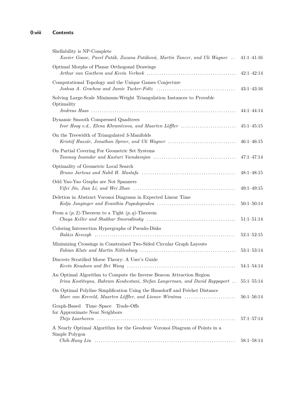### **0:viii Contents**

| Shellability is NP-Complete<br>Xavier Goaoc, Pavel Paták, Zuzana Patáková, Martin Tancer, and Uli Wagner                                           | $41:1-41:16$   |
|----------------------------------------------------------------------------------------------------------------------------------------------------|----------------|
| Optimal Morphs of Planar Orthogonal Drawings                                                                                                       | $42:1 - 42:14$ |
| Computational Topology and the Unique Games Conjecture                                                                                             | $43:1 - 43:16$ |
| Solving Large-Scale Minimum-Weight Triangulation Instances to Provable<br>Optimality                                                               | $44:1 - 44:14$ |
| Dynamic Smooth Compressed Quadtrees<br>Ivor Hoog v.d., Elena Khramtcova, and Maarten Löffler                                                       | $45:1 - 45:15$ |
| On the Treewidth of Triangulated 3-Manifolds<br>Kristóf Huszár, Jonathan Spreer, and Uli Wagner                                                    | $46:1 - 46:15$ |
| On Partial Covering For Geometric Set Systems                                                                                                      | $47:1 - 47:14$ |
| Optimality of Geometric Local Search                                                                                                               | $48:1 - 48:15$ |
| Odd Yao-Yao Graphs are Not Spanners                                                                                                                | $49:1 - 49:15$ |
| Deletion in Abstract Voronoi Diagrams in Expected Linear Time                                                                                      | $50:1 - 50:14$ |
| From a $(p, 2)$ -Theorem to a Tight $(p, q)$ -Theorem                                                                                              | $51:1 - 51:14$ |
| Coloring Intersection Hypergraphs of Pseudo-Disks                                                                                                  | $52:1 - 52:15$ |
| Minimizing Crossings in Constrained Two-Sided Circular Graph Layouts                                                                               | $53:1 - 53:14$ |
| Discrete Stratified Morse Theory: A User's Guide                                                                                                   | $54:1 - 54:14$ |
| An Optimal Algorithm to Compute the Inverse Beacon Attraction Region<br>Irina Kostitsyna, Bahram Kouhestani, Stefan Langerman, and David Rappaport | $55:1 - 55:14$ |
| On Optimal Polyline Simplification Using the Hausdorff and Fréchet Distance<br>Marc van Kreveld, Maarten Löffler, and Lionov Wiratma               | $56:1 - 56:14$ |
| Graph-Based Time-Space Trade-Offs<br>for Approximate Near Neighbors                                                                                | $57:1 - 57:14$ |
| A Nearly Optimal Algorithm for the Geodesic Voronoi Diagram of Points in a<br>Simple Polygon                                                       |                |
|                                                                                                                                                    | $58:1 - 58:14$ |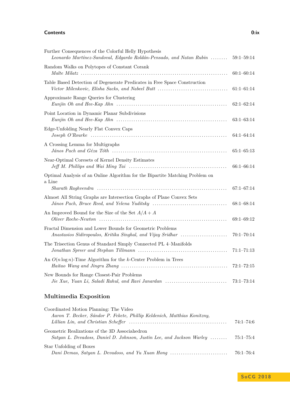#### **Contents 0:ix**

| Further Consequences of the Colorful Helly Hypothesis<br>Leonardo Martínez-Sandoval, Edgardo Roldán-Pensado, and Natan Rubin  | $59:1 - 59:14$ |
|-------------------------------------------------------------------------------------------------------------------------------|----------------|
| Random Walks on Polytopes of Constant Corank                                                                                  | $60:1 - 60:14$ |
| Table Based Detection of Degenerate Predicates in Free Space Construction<br>Victor Milenkovic, Elisha Sacks, and Nabeel Butt | $61:1-61:14$   |
| Approximate Range Queries for Clustering                                                                                      | $62:1 - 62:14$ |
| Point Location in Dynamic Planar Subdivisions                                                                                 | $63:1-63:14$   |
| Edge-Unfolding Nearly Flat Convex Caps                                                                                        | $64:1-64:14$   |
| A Crossing Lemma for Multigraphs                                                                                              | $65:1 - 65:13$ |
| Near-Optimal Coresets of Kernel Density Estimates                                                                             | $66:1 - 66:14$ |
| Optimal Analysis of an Online Algorithm for the Bipartite Matching Problem on<br>a Line                                       | $67:1 - 67:14$ |
| Almost All String Graphs are Intersection Graphs of Plane Convex Sets                                                         | $68:1-68:14$   |
| An Improved Bound for the Size of the Set $A/A + A$                                                                           | $69:1 - 69:12$ |
| Fractal Dimension and Lower Bounds for Geometric Problems                                                                     | $70:1 - 70:14$ |
| The Trisection Genus of Standard Simply Connected PL 4-Manifolds                                                              | $71:1 - 71:13$ |
| An $O(n \log n)$ -Time Algorithm for the k-Center Problem in Trees                                                            | $72:1 - 72:15$ |
| New Bounds for Range Closest-Pair Problems<br>Jie Xue, Yuan Li, Saladi Rahul, and Ravi Janardan                               | $73:1 - 73:14$ |
| Multimedia Exposition                                                                                                         |                |
| Coordinated Motion Planning: The Video<br>Aaron T. Becker, Sándor P. Fekete, Phillip Keldenich, Matthias Konitzny,            | $74:1 - 74:6$  |
| Geometric Realizations of the 3D Associahedron                                                                                |                |

*Satyan L. Devadoss, Daniel D. Johnson, Justin Lee, and Jackson Warley* . . . . . . . . 75:1–75:4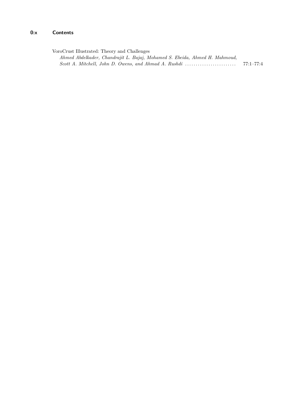#### **0:x Contents**

VoroCrust Illustrated: Theory and Challenges *Ahmed Abdelkader, Chandrajit L. Bajaj, Mohamed S. Ebeida, Ahmed H. Mahmoud, Scott A. Mitchell, John D. Owens, and Ahmad A. Rushdi* . . . . . . . . . . . . . . . . . . . . . . . . 77:1–77:4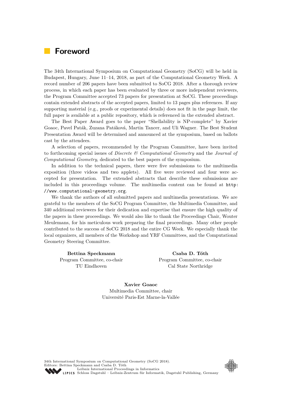### <span id="page-10-0"></span>**Foreword**

The 34th International Symposium on Computational Geometry (SoCG) will be held in Budapest, Hungary, June 11–14, 2018, as part of the Computational Geometry Week. A record number of 206 papers have been submitted to SoCG 2018. After a thorough review process, in which each paper has been evaluated by three or more independent reviewers, the Program Committee accepted 73 papers for presentation at SoCG. These proceedings contain extended abstracts of the accepted papers, limited to 13 pages plus references. If any supporting material (e.g., proofs or experimental details) does not fit in the page limit, the full paper is available at a public repository, which is referenced in the extended abstract.

The Best Paper Award goes to the paper "Shellability is NP-complete" by Xavier Goaoc, Pavel Paták, Zuzana Patáková, Martin Tancer, and Uli Wagner. The Best Student Presentation Award will be determined and announced at the symposium, based on ballots cast by the attendees.

A selection of papers, recommended by the Program Committee, have been invited to forthcoming special issues of *Discrete & Computational Geometry* and the *Journal of Computational Geometry*, dedicated to the best papers of the symposium.

In addition to the technical papers, there were five submissions to the multimedia exposition (three videos and two applets). All five were reviewed and four were accepted for presentation. The extended abstracts that describe these submissions are included in this proceedings volume. The multimedia content can be found at [http:](http://www.computational-geometry.org) [//www.computational-geometry.org](http://www.computational-geometry.org).

We thank the authors of all submitted papers and multimedia presentations. We are grateful to the members of the SoCG Program Committee, the Multimedia Committee, and 340 additional reviewers for their dedication and expertise that ensure the high quality of the papers in these proceedings. We would also like to thank the Proceedings Chair, Wouter Meulemans, for his meticulous work preparing the final proceedings. Many other people contributed to the success of SoCG 2018 and the entire CG Week. We especially thank the local organizers, all members of the Workshop and YRF Committees, and the Computational Geometry Steering Committee.

**Bettina Speckmann** Program Committee, co-chair TU Eindhoven

**Csaba D. Tóth** Program Committee, co-chair Cal State Northridge

**Xavier Goaoc** Multimedia Committee, chair Université Paris-Est Marne-la-Vallée

34th International Symposium on Computational Geometry (SoCG 2018). Editors: Bettina Speckmann and Csaba D. Tóth [Leibniz International Proceedings in Informatics](http://www.dagstuhl.de/lipics/) [Schloss Dagstuhl – Leibniz-Zentrum für Informatik, Dagstuhl Publishing, Germany](http://www.dagstuhl.de)

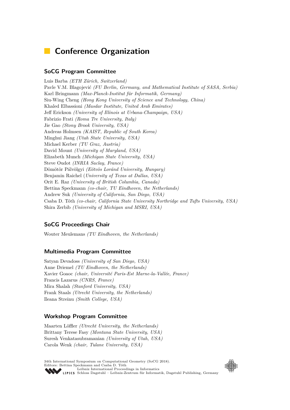### <span id="page-12-0"></span>**Conference Organization**

#### **SoCG Program Committee**

Luis Barba *(ETH Zürich, Switzerland)* Pavle V.M. Blagojević *(FU Berlin, Germany, and Mathematical Institute of SASA, Serbia)* Karl Bringmann *(Max-Planck-Institut für Informatik, Germany)* Siu-Wing Cheng *(Hong Kong University of Science and Technology, China)* Khaled Elbassioni *(Masdar Institute, United Arab Emirates)* Jeff Erickson *(University of Illinois at Urbana-Champaign, USA)* Fabrizio Frati *(Roma Tre University, Italy)* Jie Gao *(Stony Brook University, USA)* Andreas Holmsen *(KAIST, Republic of South Korea)* Minghui Jiang *(Utah State University, USA)* Michael Kerber *(TU Graz, Austria)* David Mount *(University of Maryland, USA)* Elizabeth Munch *(Michigan State University, USA)* Steve Oudot *(INRIA Saclay, France)* Dömötör Pálvölgyi *(Eötvös Loránd University, Hungary)* Benjamin Raichel (*University of Texas at Dallas, USA)* Orit E. Raz *(University of British Columbia, Canada)* Bettina Speckmann *(co-chair, TU Eindhoven, the Netherlands)* Andrew Suk *(University of California, San Diego, USA)* Csaba D. Tóth *(co-chair, California State University Northridge and Tufts University, USA)* Shira Zerbib *(University of Michigan and MSRI, USA)*

#### **SoCG Proceedings Chair**

Wouter Meulemans *(TU Eindhoven, the Netherlands)*

#### **Multimedia Program Committee**

Satyan Devadoss *(University of San Diego, USA)* Anne Driemel *(TU Eindhoven, the Netherlands)* Xavier Goaoc *(chair, Université Paris-Est Marne-la-Vallée, France)* Francis Lazarus *(CNRS, France)* Mira Shalah *(Stanford University, USA)* Frank Staals *(Utrecht University, the Netherlands)* Ileana Streinu *(Smith College, USA)*

#### **Workshop Program Committee**

Maarten Löffler *(Utrecht University, the Netherlands)* Brittany Terese Fasy *(Montana State University, USA)* Suresh Venkatasubramanian *(University of Utah, USA)* Carola Wenk *(chair, Tulane University, USA)*

34th International Symposium on Computational Geometry (SoCG 2018). Editors: Bettina Speckmann and Csaba D. Tóth [Leibniz International Proceedings in Informatics](http://www.dagstuhl.de/lipics/) [Schloss Dagstuhl – Leibniz-Zentrum für Informatik, Dagstuhl Publishing, Germany](http://www.dagstuhl.de)

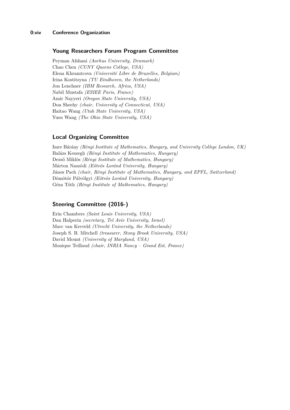#### **0:xiv Conference Organization**

#### **Young Researchers Forum Program Committee**

Peyman Afshani *(Aarhus University, Denmark)* Chao Chen *(CUNY Queens College, USA)* Elena Khramtcova *(Université Libre de Bruxelles, Belgium)* Irina Kostitsyna *(TU Eindhoven, the Netherlands)* Jon Lenchner *(IBM Research, Africa, USA)* Nabil Mustafa *(ESIEE Paris, France)* Amir Nayyeri *(Oregon State University, USA)* Don Sheehy *(chair, University of Connecticut, USA)* Haitao Wang *(Utah State University, USA)* Yusu Wang *(The Ohio State University, USA)*

#### **Local Organizing Committee**

Imre Bárány *(Rényi Institute of Mathematics, Hungary, and University College London, UK)* Balázs Keszegh *(Rényi Institute of Mathematics, Hungary)* Dezső Miklós *(Rényi Institute of Mathematics, Hungary)* Márton Naszódi *(Eötvös Loránd University, Hungary)* János Pach *(chair, Rényi Institute of Mathematics, Hungary, and EPFL, Switzerland)* Dömötör Pálvölgyi *(Eötvös Loránd University, Hungary)* Géza Tóth *(Rényi Institute of Mathematics, Hungary)*

#### **Steering Committee (2016-)**

Erin Chambers *(Saint Louis University, USA)* Dan Halperin *(secretary, Tel Aviv University, Israel)* Marc van Kreveld *(Utrecht University, the Netherlands)* Joseph S. B. Mitchell *(treasurer, Stony Brook University, USA)* David Mount *(University of Maryland, USA)* Monique Teillaud *(chair, INRIA Nancy – Grand Est, France)*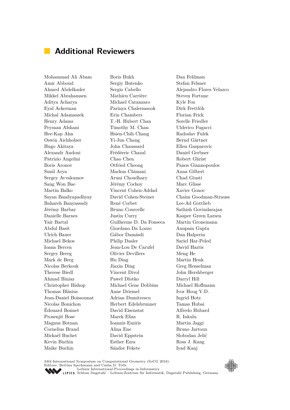### <span id="page-14-0"></span>**Additional Reviewers**

Mohammad Ali Abam Amir Abboud Ahmed Abdelkader Mikkel Abrahamsen Aditya Acharya Eyal Ackerman Michal Adamaszek Henry Adams Peyman Afshani Hee-Kap Ahn Oswin Aichholzer Hugo Akitaya Alexandr Andoni Patrizio Angelini Boris Aronov Sunil Arya Sergey Avvakumov Sang Won Bae Martin Balko Sayan Bandyapadhyay Bahareh Banyassady Jérémy Barbay Danielle Barnes Yair Bartal Abdul Basit Ulrich Bauer Michael Bekos Ioana Bercea Sergey Bereg Mark de Berg Nicolas Berkouk Therese Biedl Ahmad Biniaz Christopher Bishop Thomas Bläsius Jean-Daniel Boissonnat Nicolas Bonichon Édouard Bonnet Prosenjit Bose Magnus Botnan Cornelius Brand Mickaël Buchet Kevin Buchin Maike Buchin

Boris Bukh Sergiy Butenko Sergio Cabello Mathieu Carrière Michael Catanzaro Parinya Chalermsook Erin Chambers T.-H. Hubert Chan Timothy M. Chan Hsien-Chih Chang Yi-Jun Chang John Chaussard Frédéeric Chazal Chao Chen Otfried Cheong Markus Chimani Aruni Choudhary Jérémy Cochoy Vincent Cohen-Addad David Cohen-Steiner René Corbet Bruno Courcelle Justin Curry Guilherme D. Da Fonseca Giordano Da Lozzo Gábor Damásdi Philip Dasler Jean-Lou De Carufel Olivier Devillers Hu Ding Jiaxin Ding Vincent Divol Paweł Dłotko Michael Gene Dobbins Anne Driemel Adrian Dumitrescu Herbert Edelsbrunner David Eisenstat Marek Elias Ioannis Emiris Alina Ene David Eppstein Esther Ezra Sándor Fekete

Dan Feldman Stefan Felsner Alejandro Flores Velazco Steven Fortune Kyle Fox Dirk Frettlöh Florian Frick Sorelle Friedler Ulderico Fugacci Radoslav Fulek Bernd Gärtner Ellen Gasparovic Daniel Gerbner Robert Ghrist Panos Giannopoulos Anna Gilbert Chad Giusti Marc Glisse Xavier Goaoc Chaim Goodman-Strauss Lee-Ad Gottlieb Sathish Govindarajan Kasper Green Larsen Martin Gronemann Anupam Gupta Dan Halperin Sariel Har-Peled David Harris Meng He Martin Henk Greg Henselman John Hershberger Darryl Hill Michael Hoffmann Ivor Hoog V.D. Ingrid Hotz Tamas Hubai Alfredo Hubard R. Inkulu Martin Jaggi Bruno Jartoux Slobodan Jelić Ross J. Kang Iyad Kanj

34th International Symposium on Computational Geometry (SoCG 2018). Editors: Bettina Speckmann and Csaba D. Tóth [Leibniz International Proceedings in Informatics](http://www.dagstuhl.de/lipics/)

[Schloss Dagstuhl – Leibniz-Zentrum für Informatik, Dagstuhl Publishing, Germany](http://www.dagstuhl.de)

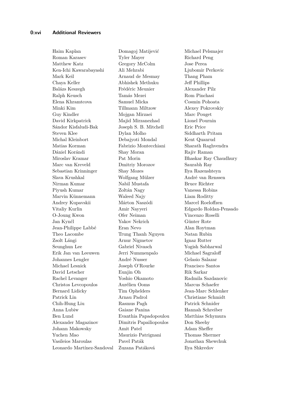Haim Kaplan Roman Karasev Matthew Katz Ken-Ichi Kawarabayashi Mark Keil Chaya Keller Balázs Keszegh Ralph Keusch Elena Khramtcova Minki Kim Guy Kindler David Kirkpatrick Sándor Kisfaludi-Bak Steven Klee Michal Kleinbort Matias Korman Dániel Korándi Miroslav Kramar Marc van Kreveld Sebastian Krinninger Slava Krushkal Nirman Kumar Piyush Kumar Marvin Künnemann Andrey Kupavskii Vitaliy Kurlin O-Joung Kwon Jan Kynčl Jean-Philippe Labbé Theo Lacombe Zsolt Lángi Seunghun Lee Erik Jan van Leeuwen Johannes Lengler Michael Lesnick David Letscher Rachel Levanger Christos Levcopoulos Bernard Lidicky Patrick Lin Chih-Hung Liu Anna Lubiw Ben Lund Alexander Magazinov Johann Makowsky Yuchen Mao Vasileios Maroulas Leonardo Martínez-Sandoval

Domagoj Matijević Tyler Mayer Gregory McColm Ali Mehrabi Arnaud de Mesmay Abhishek Methuku Frédéric Meunier Tamás Mezei Samuel Micka Tillmann Miltzow Mojgan Mirzaei Majid Mirzanezhad Joseph S. B. Mitchell Dylan Molho Debajyoti Mondal Fabrizio Montecchiani Shay Moran Pat Morin Dmitriy Morozov Shay Mozes Wolfgang Mülzer Nabil Mustafa Zoltán Nagy Waleed Najy Márton Naszódi Amir Nayyeri Ofer Neiman Yakov Nekrich Eran Nevo Trung Thanh Nguyen Arnur Nigmetov Gabriel Nivasch Jerri Nummenpalo André Nusser Joseph O'Rourke Eunjin Oh Yoshio Okamoto Aurélien Ooms Tim Ophelders Arnau Padrol Rasmus Pagh Gaiane Panina Evanthia Papadopoulou Dimitris Papailiopoulos Amit Patel Maurizio Patrignani Pavel Paták Zuzana Patáková

Michael Pelsmajer Richard Peng Jose Perea Ljubomir Perkovic Thang Pham Jeff Phillips Alexander Pilz Rom Pinchasi Cosmin Pohoata Alexey Pokrovskiy Marc Pouget Lionel Pournin Eric Price Siddharth Pritam Kent Quanrud Sharath Raghvendra Rajiv Raman Bhaskar Ray Chaudhury Saurabh Ray Ilya Razenshteyn André van Renssen Bruce Richter Vanessa Robins Liam Roditty Marcel Roeloffzen Edgardo Roldan-Pensado Vincenzo Roselli Günter Rote Alan Roytman Natan Rubin Ignaz Rutter Yogish Sabharwal Michael Sagraloff Gelasio Salazar Francisco Santos Rik Sarkar Radmila Sazdanovic Marcus Schaefer Jean-Marc Schlenker Christiane Schmidt Patrick Schnider Hannah Schreiber Matthias Schymura Don Sheehy Adam Sheffer Thomas Shermer Jonathan Shewchuk Ilya Shkredov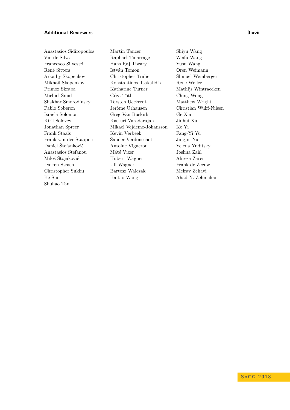#### **Additional Reviewers 0:xvii**

Anastasios Sidiropoulos Vin de Silva Francesco Silvestri René Sitters Arkadiy Skopenkov Mikhail Skopenkov Primoz Skraba Michiel Smid Shakhar Smorodinsky Pablo Soberon Israela Solomon Kiril Solovey Jonathan Spreer Frank Staals Frank van der Stappen Daniel Štefankovič Anastasios Stefanou Miloš Stojaković Darren Strash Christopher Sukhu He Sun Shuhao Tan

Martin Tancer Raphael Tinarrage Hans Raj Tiwary István Tomon Christopher Tralie Konstantinos Tsakalidis Katharine Turner Géza Tóth Torsten Ueckerdt Jérôme Urhausen Greg Van Buskirk Kasturi Varadarajan Mikael Vejdemo-Johansson Kevin Verbeek Sander Verdonschot Antoine Vigneron Máté Vizer Hubert Wagner Uli Wagner Bartosz Walczak Haitao Wang

Shiyu Wang Weifu Wang Yusu Wang Oren Weimann Shmuel Weinberger Rene Weller Mathijs Wintraecken Ching Wong Matthew Wright Christian Wulff-Nilsen Ge Xia Jinhui Xu Ke Yi Fang-Yi Yu Jingjin Yu Yelena Yuditsky Joshua Zahl Alireza Zarei Frank de Zeeuw Meirav Zehavi Ahad N. Zehmakan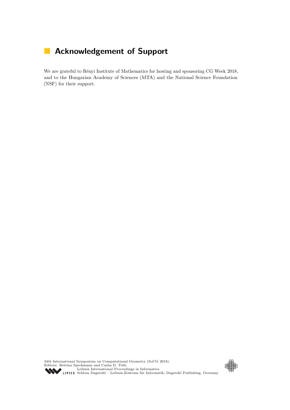# <span id="page-18-0"></span>**Acknowledgement of Support**

We are grateful to Rényi Institute of Mathematics for hosting and sponsoring CG Week 2018, and to the Hungarian Academy of Sciences (MTA) and the National Science Foundation (NSF) for their support.

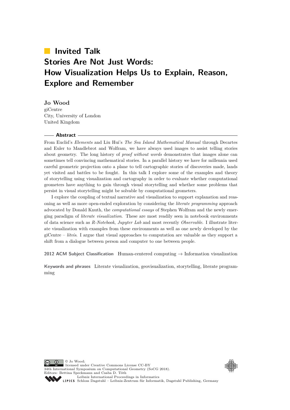# <span id="page-20-0"></span>**Invited Talk Stories Are Not Just Words: How Visualization Helps Us to Explain, Reason, Explore and Remember**

#### **Jo Wood**

giCentre City, University of London United Kingdom

#### **Abstract**

From Euclid's *Elements* and Liu Hui's *The Sea Island Mathematical Manual* through Decartes and Euler to Mandlebrot and Wolfram, we have always used images to assist telling stories about geometry. The long history of *proof without words* demonstrates that images alone can sometimes tell convincing mathematical stories. In a parallel history we have for millennia used careful geometric projection onto a plane to tell cartographic stories of discoveries made, lands yet visited and battles to be fought. In this talk I explore some of the examples and theory of storytelling using visualization and cartography in order to evaluate whether computational geometers have anything to gain through visual storytelling and whether some problems that persist in visual storytelling might be solvable by computational geometers.

I explore the coupling of textual narrative and visualization to support explanation and reasoning as well as more open-ended exploration by considering the *literate programming* approach advocated by Donald Knuth, the *computational essays* of Stephen Wolfram and the newly emerging paradigm of *literate visualization*. These are most readily seen in notebook environments of data science such as *R-Notebook*, *Jupyter Lab* and most recently *Observable*. I illustrate literate visualization with examples from these environments as well as one newly developed by the giCentre – *litvis*. I argue that visual approaches to computation are valuable as they support a shift from a dialogue between person and computer to one between people.

**2012 ACM Subject Classification** Human-centered computing → Information visualization

**Keywords and phrases** Literate visualization, geovisualization, storytelling, literate programming